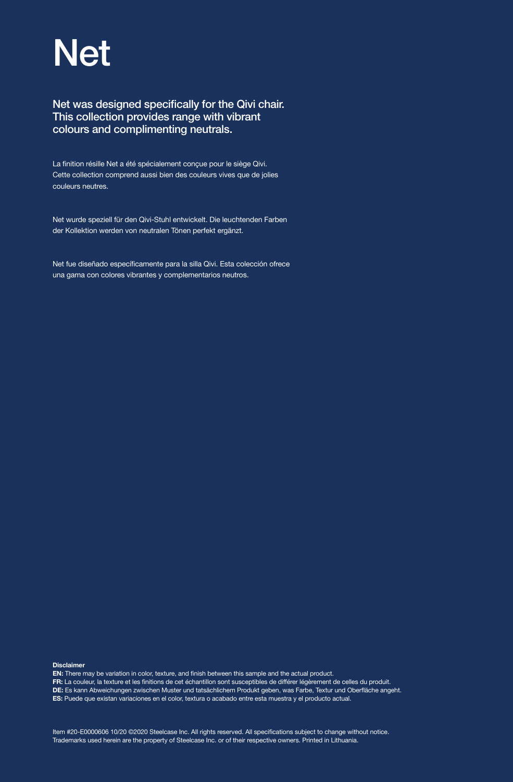# Net

## Net was designed specifically for the Qivi chair. This collection provides range with vibrant colours and complimenting neutrals.

La finition résille Net a été spécialement conçue pour le siège Qivi. Cette collection comprend aussi bien des couleurs vives que de jolies couleurs neutres.

Net wurde speziell für den Qivi-Stuhl entwickelt. Die leuchtenden Farben der Kollektion werden von neutralen Tönen perfekt ergänzt.

Net fue diseñado específicamente para la silla Qivi. Esta colección ofrece una gama con colores vibrantes y complementarios neutros.

Disclaimer

EN: There may be variation in color, texture, and finish between this sample and the actual product.

FR: La couleur, la texture et les finitions de cet échantillon sont susceptibles de différer légèrement de celles du produit.

DE: Es kann Abweichungen zwischen Muster und tatsächlichem Produkt geben, was Farbe, Textur und Oberfläche angeht.

ES: Puede que existan variaciones en el color, textura o acabado entre esta muestra y el producto actual.

Item #20-E0000606 10/20 ©2020 Steelcase Inc. All rights reserved. All specifications subject to change without notice. Trademarks used herein are the property of Steelcase Inc. or of their respective owners. Printed in Lithuania.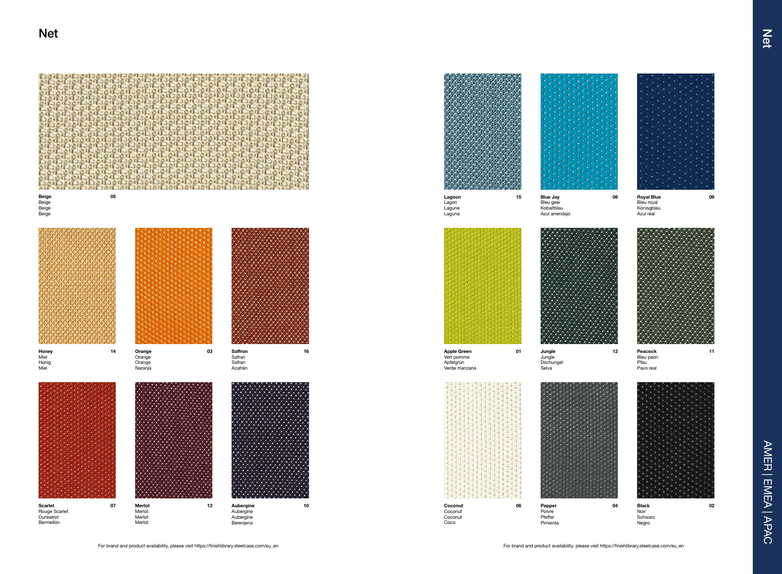Jungle Jungle **Dschungel** Selva 16 12 Deacock 11 and the Supple Green 2015 and Jungle 2015 12 Deacock 2016 11





AMER | EMEA | APAC

AMER | EMEA | APAC



**Coconut** Coco

Vert pomme Apfelgrün Verde manzana



08 Royal Blue 09 Bleu royal Könisgblau Azul real







Peacock Bleu paon Pfau<sup>1</sup> Pavo real







Pepper Poivre Pfeffer Pimienta

For brand and product availability, please visit https://finishlibrary.steelcase.com/eu\_en For brand and product availability, please visit https://finishlibrary.steelcase.com/eu\_en

Black Noir Schwarz Negro

Lagoon

Lagon Lagune Laguna 15 Blue Jay

Bleu geai Kobaltblau Azul arrendajo